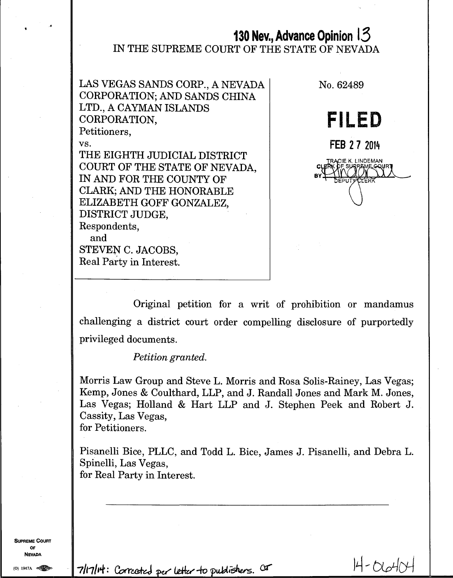# **130 Nev., Advance Opinion 13**  IN THE SUPREME COURT OF THE STATE OF NEVADA

LAS VEGAS SANDS CORP., A NEVADA CORPORATION; AND SANDS CHINA LTD., A CAYMAN ISLANDS CORPORATION, Petitioners,

vs.

THE EIGHTH JUDICIAL DISTRICT COURT OF THE STATE OF NEVADA, IN AND FOR THE COUNTY OF CLARK; AND THE HONORABLE ELIZABETH GOFF GONZALEZ, DISTRICT JUDGE, Respondents, and

STEVEN C. JACOBS, Real Party in Interest.

**FILED FEB 27 2014**  TRACIE K. LINDEMAN **DEPUTYCLERK** 

No. 62489

Original petition for a writ of prohibition or mandamus challenging a district court order compelling disclosure of purportedly privileged documents.

*Petition granted.* 

Morris Law Group and Steve L. Morris and Rosa Solis-Rainey, Las Vegas; Kemp, Jones & Coulthard, LLP, and J. Randall Jones and Mark M. Jones, Las Vegas; Holland & Hart LLP and J. Stephen Peek and Robert J. Cassity, Las Vegas,

for Petitioners.

Pisanelli Bice, PLLC, and Todd L. Bice, James J. Pisanelli, and Debra L. Spinelli, Las Vegas, for Real Party in Interest.

**SUPREME COURT OF NEVADA** 

 $(0)$  1947A

 $7$ lt7/ $H$ : Corrected per letter to publishers.  $4$ <sup>r</sup>  $H - 6$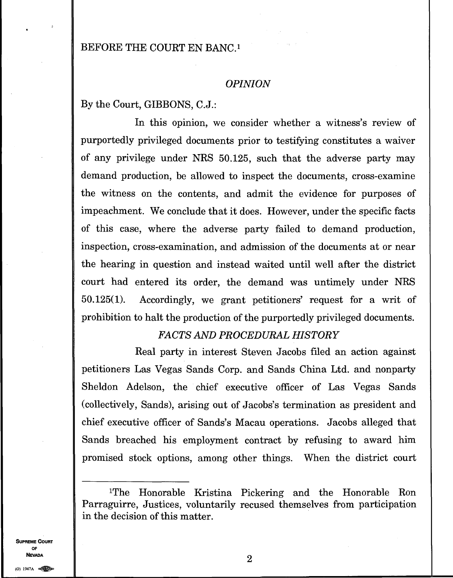## BEFORE THE COURT EN BANC.<sup>1</sup>

#### *OPINION*

By the Court, GIBBONS, C.J.:

In this opinion, we consider whether a witness's review of purportedly privileged documents prior to testifying constitutes a waiver of any privilege under NRS 50.125, such that the adverse party may demand production, be allowed to inspect the documents, cross-examine the witness on the contents, and admit the evidence for purposes of impeachment. We conclude that it does. However, under the specific facts of this case, where the adverse party failed to demand production, inspection, cross-examination, and admission of the documents at or near the hearing in question and instead waited until well after the district court had entered its order, the demand was untimely under NRS 50.125(1). Accordingly, we grant petitioners' request for a writ of prohibition to halt the production of the purportedly privileged documents.

### *FACTS AND PROCEDURAL HISTORY*

Real party in interest Steven Jacobs filed an action against petitioners Las Vegas Sands Corp. and Sands China Ltd. and nonparty Sheldon Adelson, the chief executive officer of Las Vegas Sands (collectively, Sands), arising out of Jacobs's termination as president and chief executive officer of Sands's Macau operations. Jacobs alleged that Sands breached his employment contract by refusing to award him promised stock options, among other things. When the district court

**SUPREME COURT OF NEVADA** 2

<sup>&#</sup>x27;The Honorable Kristina Pickering and the Honorable Ron Parraguirre, Justices, voluntarily recused themselves from participation in the decision of this matter.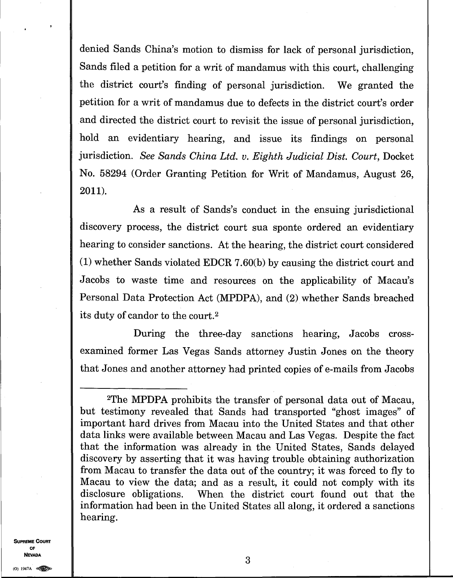denied Sands China's motion to dismiss for lack of personal jurisdiction, Sands filed a petition for a writ of mandamus with this court, challenging the district court's finding of personal jurisdiction. We granted the petition for a writ of mandamus due to defects in the district court's order and directed the district court to revisit the issue of personal jurisdiction, hold an evidentiary hearing, and issue its findings on personal jurisdiction. *See Sands China Ltd. v. Eighth Judicial Dist. Court,* Docket No. 58294 (Order Granting Petition for Writ of Mandamus, August 26, 2011).

As a result of Sands's conduct in the ensuing jurisdictional discovery process, the district court sua sponte ordered an evidentiary hearing to consider sanctions. At the hearing, the district court considered (1) whether Sands violated EDCR 7.60(b) by causing the district court and Jacobs to waste time and resources on the applicability of Macau's Personal Data Protection Act (MPDPA), and (2) whether Sands breached its duty of candor to the court. <sup>2</sup>

During the three-day sanctions hearing, Jacobs crossexamined former Las Vegas Sands attorney Justin Jones on the theory that Jones and another attorney had printed copies of e-mails from Jacobs

**SUPREME COURT OF NEVADA** 

(0) I947A

<sup>2</sup>The MPDPA prohibits the transfer of personal data out of Macau, but testimony revealed that Sands had transported "ghost images" of important hard drives from Macau into the United States and that other data links were available between Macau and Las Vegas. Despite the fact that the information was already in the United States, Sands delayed discovery by asserting that it was having trouble obtaining authorization from Macau to transfer the data out of the country; it was forced to fly to Macau to view the data; and as a result, it could not comply with its disclosure obligations. When the district court found out that the information had been in the United States all along, it ordered a sanctions hearing.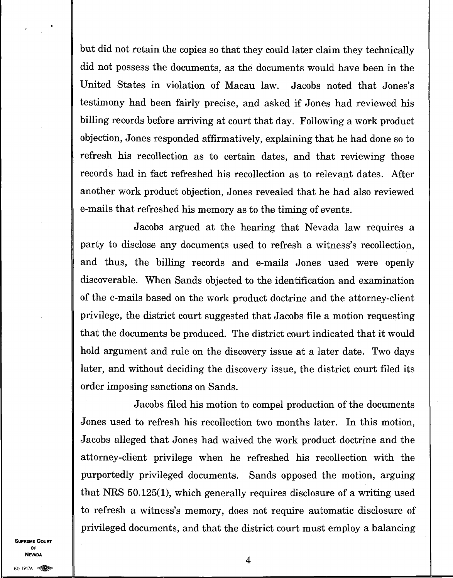but did not retain the copies so that they could later claim they technically did not possess the documents, as the documents would have been in the United States in violation of Macau law. Jacobs noted that Jones's testimony had been fairly precise, and asked if Jones had reviewed his billing records before arriving at court that day. Following a work product objection, Jones responded affirmatively, explaining that he had done so to refresh his recollection as to certain dates, and that reviewing those records had in fact refreshed his recollection as to relevant dates. After another work product objection, Jones revealed that he had also reviewed e-mails that refreshed his memory as to the timing of events.

Jacobs argued at the hearing that Nevada law requires a party to disclose any documents used to refresh a witness's recollection, and thus, the billing records and e-mails Jones used were openly discoverable. When Sands objected to the identification and examination of the e-mails based on the work product doctrine and the attorney-client privilege, the district court suggested that Jacobs file a motion requesting that the documents be produced. The district court indicated that it would hold argument and rule on the discovery issue at a later date. Two days later, and without deciding the discovery issue, the district court filed its order imposing sanctions on Sands.

Jacobs filed his motion to compel production of the documents Jones used to refresh his recollection two months later. In this motion, Jacobs alleged that Jones had waived the work product doctrine and the attorney-client privilege when he refreshed his recollection with the purportedly privileged documents. Sands opposed the motion, arguing that NRS 50.125(1), which generally requires disclosure of a writing used to refresh a witness's memory, does not require automatic disclosure of privileged documents, and that the district court must employ a balancing

**SUPREME COURT OF NEVADA**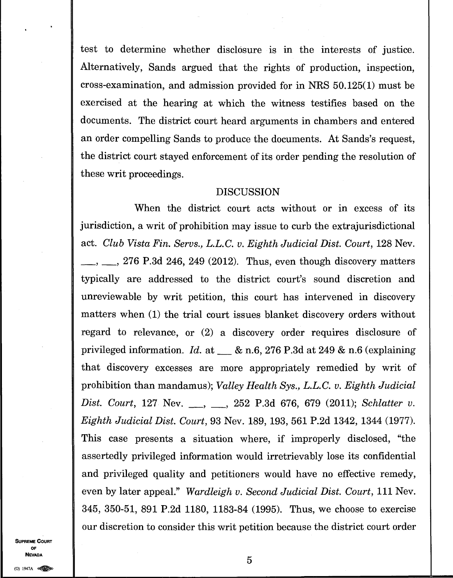test to determine whether disclosure is in the interests of justice. Alternatively, Sands argued that the rights of production, inspection, cross-examination, and admission provided for in NRS 50.125(1) must be exercised at the hearing at which the witness testifies based on the documents. The district court heard arguments in chambers and entered an order compelling Sands to produce the documents. At Sands's request, the district court stayed enforcement of its order pending the resolution of these writ proceedings.

#### DISCUSSION

When the district court acts without or in excess of its jurisdiction, a writ of prohibition may issue to curb the extrajurisdictional act. *Club Vista Fin. Servs., L.L.C. v. Eighth Judicial Dist. Court,* 128 Nev.  $\ldots$ , 276 P.3d 246, 249 (2012). Thus, even though discovery matters typically are addressed to the district court's sound discretion and unreviewable by writ petition, this court has intervened in discovery matters when (1) the trial court issues blanket discovery orders without regard to relevance, or (2) a discovery order requires disclosure of privileged information. *Id.* at & n.6, 276 P.3d at 249 & n.6 (explaining that discovery excesses are more appropriately remedied by writ of prohibition than mandamus); *Valley Health Sys., L.L.C. v. Eighth Judicial Dist. Court, 127 Nev.* , , , 252 P.3d 676, 679 (2011); *Schlatter v. Eighth Judicial Dist. Court,* 93 Nev. 189, 193, 561 P.2d 1342, 1344 (1977). This case presents a situation where, if improperly disclosed, "the assertedly privileged information would irretrievably lose its confidential and privileged quality and petitioners would have no effective remedy, even by later appeal." *Wardleigh v. Second Judicial Dist. Court,* 111 Nev. 345, 350-51, 891 P.2d 1180, 1183-84 (1995). Thus, we choose to exercise our discretion to consider this writ petition because the district court order

**SUPREME COURT OF NEVAD**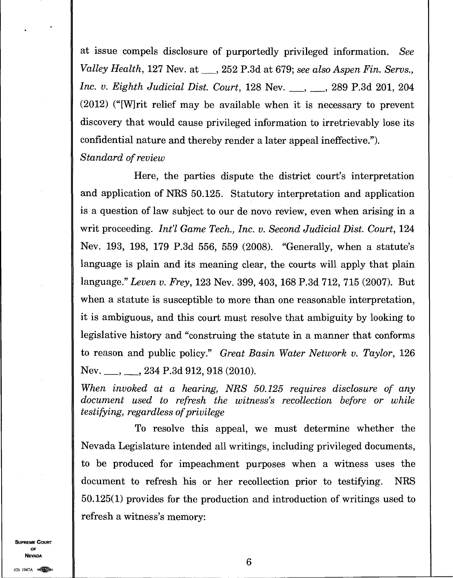at issue compels disclosure of purportedly privileged information. *See Valley Health, 127 Nev. at \_\_, 252 P.3d at 679; see also Aspen Fin. Servs., Inc. v. Eighth Judicial Dist. Court, 128 Nev.* \_\_, \_\_, 289 P.3d 201, 204 (2012) ("[W]rit relief may be available when it is necessary to prevent discovery that would cause privileged information to irretrievably lose its confidential nature and thereby render a later appeal ineffective."). *Standard of review* 

Here, the parties dispute the district court's interpretation and application of NRS 50.125. Statutory interpretation and application is a question of law subject to our de novo review, even when arising in a writ proceeding. *Int'l Game Tech., Inc. v. Second Judicial Dist. Court, 124* Nev. 193, 198, 179 P.3d 556, 559 (2008). "Generally, when a statute's language is plain and its meaning clear, the courts will apply that plain language." *Leven v. Frey,* 123 Nev. 399, 403, 168 P.3d 712, 715 (2007). But when a statute is susceptible to more than one reasonable interpretation, it is ambiguous, and this court must resolve that ambiguity by looking to legislative history and "construing the statute in a manner that conforms to reason and public policy." *Great Basin Water Network v. Taylor,* 126 Nev. \_\_, \_\_, 234 P.3d 912, 918 (2010).

*When invoked at a hearing, NRS 50.125 requires disclosure of any document used to refresh the witness's recollection before or while testifying, regardless of privilege* 

To resolve this appeal, we must determine whether the Nevada Legislature intended all writings, including privileged documents, to be produced for impeachment purposes when a witness uses the document to refresh his or her recollection prior to testifying. NRS 50.125(1) provides for the production and introduction of writings used to refresh a witness's memory:

**SUPREME COURT** OF **NEVADA** 

 $(0)$  1947A  $\otimes$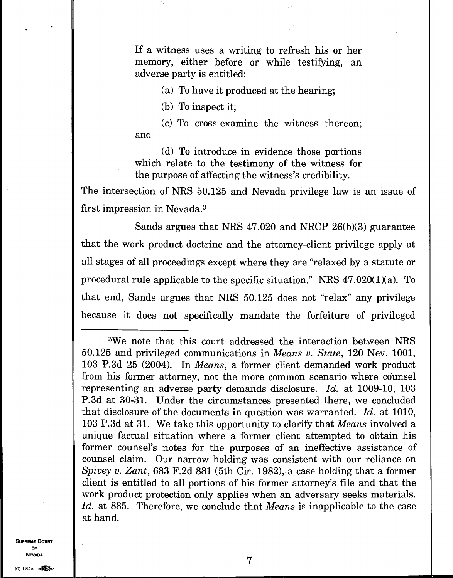If a witness uses a writing to refresh his or her memory, either before or while testifying, an adverse party is entitled:

(a) To have it produced at the hearing;

(b) To inspect it;

(c) To cross-examine the witness thereon; and

(d) To introduce in evidence those portions which relate to the testimony of the witness for the purpose of affecting the witness's credibility.

The intersection of NRS 50.125 and Nevada privilege law is an issue of first impression in Nevada. <sup>3</sup>

Sands argues that NRS 47.020 and NRCP 26(b)(3) guarantee that the work product doctrine and the attorney-client privilege apply at all stages of all proceedings except where they are "relaxed by a statute or procedural rule applicable to the specific situation." NRS 47.020(1)(a). To that end, Sands argues that NRS 50.125 does not "relax" any privilege because it does not specifically mandate the forfeiture of privileged

**SUPREME COURT OF NEVADA** 

(0) I947A

<sup>3</sup>We note that this court addressed the interaction between NRS 50.125 and privileged communications in *Means v. State,* 120 Nev. 1001, 103 P.3d 25 (2004). In *Means,* a former client demanded work product from his former attorney, not the more common scenario where counsel representing an adverse party demands disclosure. *Id.* at 1009-10, 103 P.3d at 30-31. Under the circumstances presented there, we concluded that disclosure of the documents in question was warranted. *Id.* at 1010, 103 P.3d at 31. We take this opportunity to clarify that *Means* involved a unique factual situation where a former client attempted to obtain his former counsel's notes for the purposes of an ineffective assistance of counsel claim. Our narrow holding was consistent with our reliance on *Spivey v. Zant,* 683 F.2d 881 (5th Cir. 1982), a case holding that a former client is entitled to all portions of his former attorney's file and that the work product protection only applies when an adversary seeks materials. *Id.* at 885. Therefore, we conclude that *Means* is inapplicable to the case at hand.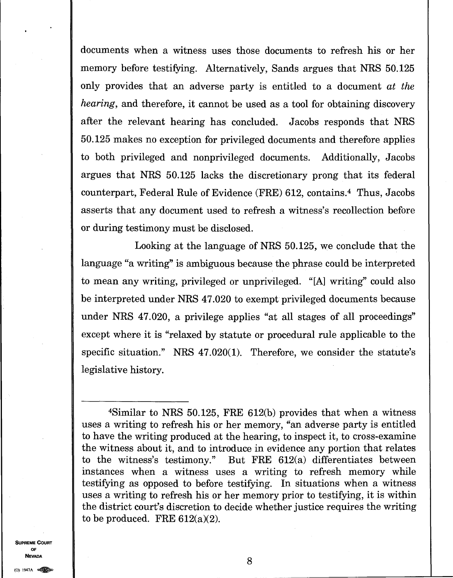documents when a witness uses those documents to refresh his or her memory before testifying. Alternatively, Sands argues that NRS 50.125 only provides that an adverse party is entitled to a document *at the hearing*, and therefore, it cannot be used as a tool for obtaining discovery after the relevant hearing has concluded. Jacobs responds that NRS 50.125 makes no exception for privileged documents and therefore applies to both privileged and nonprivileged documents. Additionally, Jacobs argues that NRS 50.125 lacks the discretionary prong that its federal counterpart, Federal Rule of Evidence (FRE) 612, contains.<sup>4</sup> Thus, Jacobs asserts that any document used to refresh a witness's recollection before or during testimony must be disclosed.

Looking at the language of NRS 50.125, we conclude that the language "a writing" is ambiguous because the phrase could be interpreted to mean any writing, privileged or unprivileged. "[Al writing" could also be interpreted under NRS 47.020 to exempt privileged documents because under NRS 47.020, a privilege applies "at all stages of all proceedings" except where it is "relaxed by statute or procedural rule applicable to the specific situation." NRS 47.020(1). Therefore, we consider the statute's legislative history.

<sup>4</sup>Similar to NRS 50.125, FRE 612(b) provides that when a witness uses a writing to refresh his or her memory, "an adverse party is entitled to have the writing produced at the hearing, to inspect it, to cross-examine the witness about it, and to introduce in evidence any portion that relates to the witness's testimony." But FRE 612(a) differentiates between instances when a witness uses a writing to refresh memory while testifying as opposed to before testifying. In situations when a witness uses a writing to refresh his or her memory prior to testifying, it is within the district court's discretion to decide whether justice requires the writing to be produced. FRE  $612(a)(2)$ .

**SUPREME COURT OF NEVADA** 8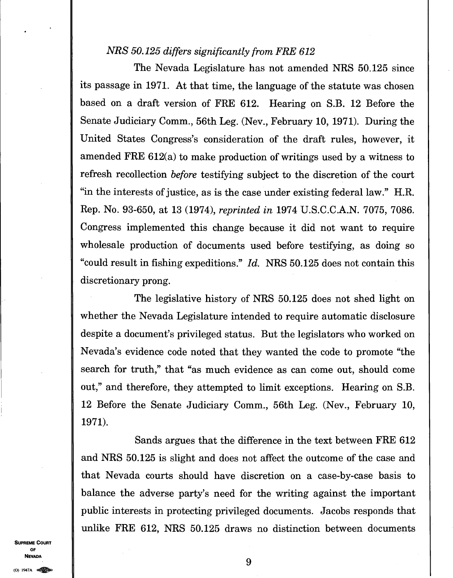## *NRS 50.125 differs significantly from FRE 612*

The Nevada Legislature has not amended NRS 50.125 since its passage in 1971. At that time, the language of the statute was chosen based on a draft version of FRE 612. Hearing on S.B. 12 Before the Senate Judiciary Comm., 56th Leg. (Nev., February 10, 1971). During the United States Congress's consideration of the draft rules, however, it amended FRE 612(a) to make production of writings used by a witness to refresh recollection *before* testifying subject to the discretion of the court "in the interests of justice, as is the case under existing federal law." H.R. Rep. No. 93-650, at 13 (1974), *reprinted in* 1974 U.S.C.C.A.N. 7075, 7086. Congress implemented this change because it did not want to require wholesale production of documents used before testifying, as doing so "could result in fishing expeditions." *Id.* NRS 50.125 does not contain this discretionary prong.

The legislative history of NRS 50.125 does not shed light on whether the Nevada Legislature intended to require automatic disclosure despite a document's privileged status. But the legislators who worked on Nevada's evidence code noted that they wanted the code to promote "the search for truth," that "as much evidence as can come out, should come out," and therefore, they attempted to limit exceptions. Hearing on S.B. 12 Before the Senate Judiciary Comm., 56th Leg. (Nev., February 10, 1971).

Sands argues that the difference in the text between FRE 612 and NRS 50.125 is slight and does not affect the outcome of the case and that Nevada courts should have discretion on a case-by-case basis to balance the adverse party's need for the writing against the important public interests in protecting privileged documents. Jacobs responds that unlike FRE 612, NRS 50.125 draws no distinction between documents

**SUPREME COURT OF NEVADA**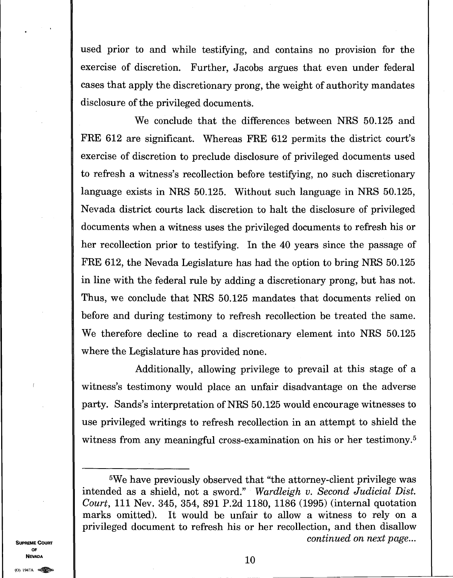used prior to and while testifying, and contains no provision for the exercise of discretion. Further, Jacobs argues that even under federal cases that apply the discretionary prong, the weight of authority mandates disclosure of the privileged documents.

We conclude that the differences between NRS 50.125 and FRE 612 are significant. Whereas FRE 612 permits the district court's exercise of discretion to preclude disclosure of privileged documents used to refresh a witness's recollection before testifying, no such discretionary language exists in NRS 50.125. Without such language in NRS 50.125, Nevada district courts lack discretion to halt the disclosure of privileged documents when a witness uses the privileged documents to refresh his or her recollection prior to testifying. In the 40 years since the passage of FRE 612, the Nevada Legislature has had the option to bring NRS 50.125 in line with the federal rule by adding a discretionary prong, but has not. Thus, we conclude that NRS 50.125 mandates that documents relied on before and during testimony to refresh recollection be treated the same. We therefore decline to read a discretionary element into NRS 50.125 where the Legislature has provided none.

Additionally, allowing privilege to prevail at this stage of a witness's testimony would place an unfair disadvantage on the adverse party. Sands's interpretation of NRS 50.125 would encourage witnesses to use privileged writings to refresh recollection in an attempt to shield the witness from any meaningful cross-examination on his or her testimony.<sup>5</sup>

**SUPREME COURT OF NEVADA** 

<sup>5</sup>We have previously observed that "the attorney-client privilege was intended as a shield, not a sword." *Wardleigh v. Second Judicial Dist. Court,* 111 Nev. 345, 354, 891 P.2d 1180, 1186 (1995) (internal quotation marks omitted). It would be unfair to allow a witness to rely on a privileged document to refresh his or her recollection, and then disallow *continued on next page...*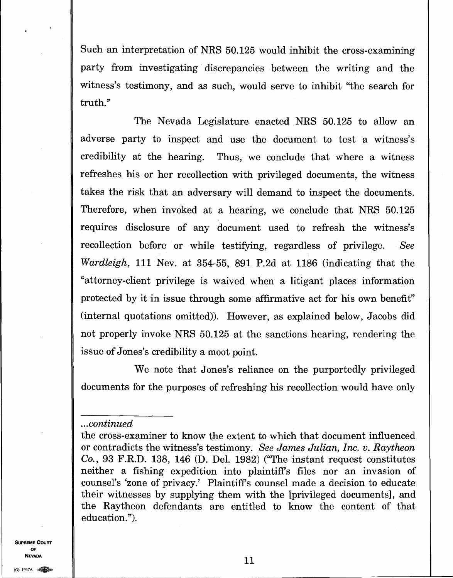Such an interpretation of NRS 50.125 would inhibit the cross-examining party from investigating discrepancies between the writing and the witness's testimony, and as such, would serve to inhibit "the search for truth."

The Nevada Legislature enacted NRS 50.125 to allow an adverse party to inspect and use the document to test a witness's credibility at the hearing. Thus, we conclude that where a witness refreshes his or her recollection with privileged documents, the witness takes the risk that an adversary will demand to inspect the documents. Therefore, when invoked at a hearing, we conclude that NRS 50.125 requires disclosure of any document used to refresh the witness's recollection before or while testifying, regardless of privilege. *See Wardleigh,* 111 Nev. at 354-55, 891 P.2d at 1186 (indicating that the "attorney-client privilege is waived when a litigant places information protected by it in issue through some affirmative act for his own benefit" (internal quotations omitted)). However, as explained below, Jacobs did not properly invoke NRS 50.125 at the sanctions hearing, rendering the issue of Jones's credibility a moot point.

We note that Jones's reliance on the purportedly privileged documents for the purposes of refreshing his recollection would have only

#### *...continued*

**SUPREME COURT OF** 

the cross-examiner to know the extent to which that document influenced or contradicts the witness's testimony. *See James Julian, Inc. v. Raytheon Co.,* 93 F.R.D. 138, 146 (D. Del. 1982) ("The instant request constitutes neither a fishing expedition into plaintiffs files nor an invasion of counsel's 'zone of privacy.' Plaintiffs counsel made a decision to educate their witnesses by supplying them with the [privileged documents], and the Raytheon defendants are entitled to know the content of that education.").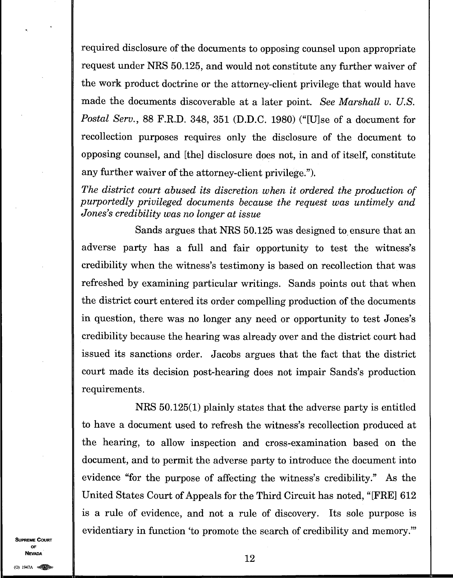required disclosure of the documents to opposing counsel upon appropriate request under NRS 50.125, and would not constitute any further waiver of the work product doctrine or the attorney-client privilege that would have made the documents discoverable at a later point. *See Marshall v. U.S. Postal Serv.,* 88 F.R.D. 348, 351 (D.D.C. 1980) ("[U]se of a document for recollection purposes requires only the disclosure of the document to opposing counsel, and [the] disclosure does not, in and of itself, constitute any further waiver of the attorney-client privilege.").

*The district court abused its discretion when it ordered the production of purportedly privileged documents because the request was untimely and Jones's credibility was no longer at issue* 

Sands argues that NRS 50.125 was designed to ensure that an adverse party has a full and fair opportunity to test the witness's credibility when the witness's testimony is based on recollection that was refreshed by examining particular writings. Sands points out that when the district court entered its order compelling production of the documents in question, there was no longer any need or opportunity to test Jones's credibility because the hearing was already over and the district court had issued its sanctions order. Jacobs argues that the fact that the district court made its decision post-hearing does not impair Sands's production requirements.

NRS 50.125(1) plainly states that the adverse party is entitled to have a document used to refresh the witness's recollection produced at the hearing, to allow inspection and cross-examination based on the document, and to permit the adverse party to introduce the document into evidence "for the purpose of affecting the witness's credibility." As the United States Court of Appeals for the Third Circuit has noted, "[FRE] 612 is a rule of evidence, and not a rule of discovery. Its sole purpose is evidentiary in function 'to promote the search of credibility and memory."

**SUPREME COURT OF NEVADA** 12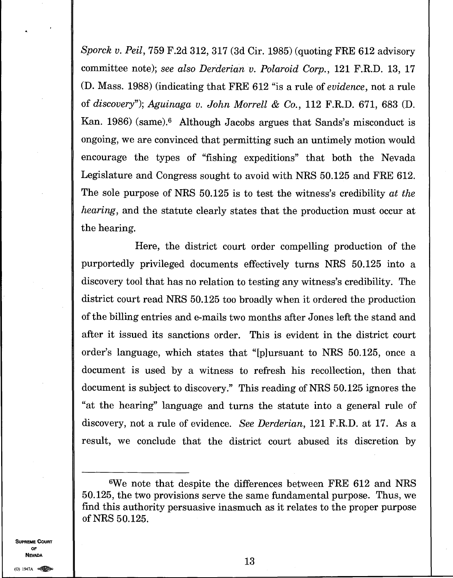*Sporck v. Peil,* 759 F.2d 312, 317 (3d Cir. 1985) (quoting FRE 612 advisory committee note); *see also Derderian v. Polaroid Corp.,* 121 F.R.D. 13, 17 (D. Mass. 1988) (indicating that FRE 612 "is a rule of *evidence,* not a rule of *discovery"); Aguinaga v. John Morrell & Co.,* 112 F.R.D. 671, 683 (D. Kan. 1986) (same). <sup>6</sup> Although Jacobs argues that Sands's misconduct is ongoing, we are convinced that permitting such an untimely motion would encourage the types of "fishing expeditions" that both the Nevada Legislature and Congress sought to avoid with NRS 50.125 and FRE 612. The sole purpose of NRS 50.125 is to test the witness's credibility *at the hearing,* and the statute clearly states that the production must occur at the hearing.

Here, the district court order compelling production of the purportedly privileged documents effectively turns NRS 50.125 into a discovery tool that has no relation to testing any witness's credibility. The district court read NRS 50.125 too broadly when it ordered the production of the billing entries and e-mails two months after Jones left the stand and after it issued its sanctions order. This is evident in the district court order's language, which states that "[p]ursuant to NRS 50.125, once a document is used by a witness to refresh his recollection, then that document is subject to discovery." This reading of NRS 50.125 ignores the "at the hearing" language and turns the statute into a general rule of discovery, not a rule of evidence. *See Derderian,* 121 F.R.D. at 17. As a result, we conclude that the district court abused its discretion by

**SUPREME COURT OF NEVADA** 

<sup>6</sup>We note that despite the differences between FRE 612 and NRS 50.125, the two provisions serve the same fundamental purpose. Thus, we find this authority persuasive inasmuch as it relates to the proper purpose of NRS 50.125.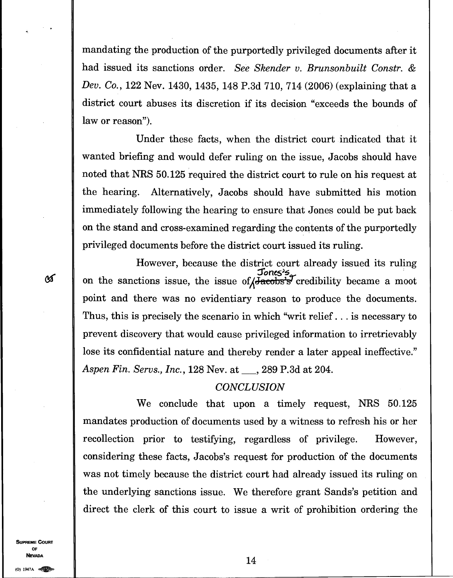mandating the production of the purportedly privileged documents after it had issued its sanctions order. *See Skender v. Brunsonbuilt Constr. & Dev. Co.,* 122 Nev. 1430, 1435, 148 P.3d 710, 714 (2006) (explaining that a district court abuses its discretion if its decision "exceeds the bounds of law or reason").

Under these facts, when the district court indicated that it wanted briefing and would defer ruling on the issue, Jacobs should have noted that NRS 50.125 required the district court to rule on his request at the hearing. Alternatively, Jacobs should have submitted his motion immediately following the hearing to ensure that Jones could be put back on the stand and cross-examined regarding the contents of the purportedly privileged documents before the district court issued its ruling.

However, because the district court already issued its ruling Jones's  $\mathcal{F}$  on the sanctions issue, the issue of  $\sqrt{\text{Jacobs's}}$  credibility became a moot point and there was no evidentiary reason to produce the documents. Thus, this is precisely the scenario in which "writ relief. . . is necessary to prevent discovery that would cause privileged information to irretrievably lose its confidential nature and thereby render a later appeal ineffective." *Aspen Fin. Servs., Inc., 128 Nev. at* , 289 P.3d at 204.

#### *CONCLUSION*

We conclude that upon a timely request, NRS 50.125 mandates production of documents used by a witness to refresh his or her recollection prior to testifying, regardless of privilege. However, considering these facts, Jacobs's request for production of the documents was not timely because the district court had already issued its ruling on the underlying sanctions issue. We therefore grant Sands's petition and direct the clerk of this court to issue a writ of prohibition ordering the

**SUPREME COURT OF NEVADA** 14